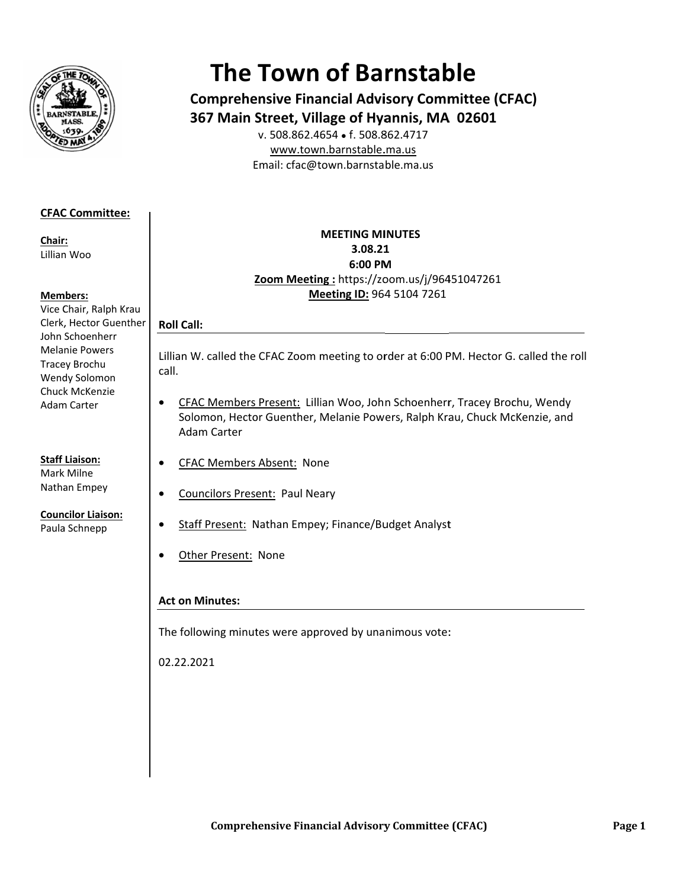

# **The Town of Barnstable**

**Comprehensive Financial Advisory Committee (CFAC)** 367 Main Street, Village of Hyannis, MA 02601

v. 508.862.4654 • f. 508.862.4717 www.town.barnstable.ma.us Email: cfac@town.barnstable.ma.us

## **CFAC Committee:**

Chair: Lillian Woo

#### **Members:**

Vice Chair, Ralph Krau Clerk, Hector Guenther John Schoenherr **Melanie Powers** Tracey Brochu Wendy Solomon Chuck McKenzie **Adam Carter** 

# **Staff Liaison:**

Mark Milne Nathan Empey

# **Councilor Liaison:**

Paula Schnepp

### **MEETING MINUTES** 3.08.21 6:00 PM Zoom Meeting: https://zoom.us/j/96451047261 Meeting ID: 964 5104 7261

# **Roll Call:**

Lillian W. called the CFAC Zoom meeting to order at 6:00 PM. Hector G. called the roll call.

- CFAC Members Present: Lillian Woo, John Schoenherr, Tracey Brochu, Wendy  $\bullet$ Solomon, Hector Guenther, Melanie Powers, Ralph Krau, Chuck McKenzie, and Adam Carter
- **CFAC Members Absent: None**  $\bullet$
- **Councilors Present: Paul Neary**  $\bullet$ 
	- Staff Present: Nathan Empey; Finance/Budget Analyst
- Other Present: None  $\bullet$

## **Act on Minutes:**

The following minutes were approved by unanimous vote:

02.22.2021

 $\bullet$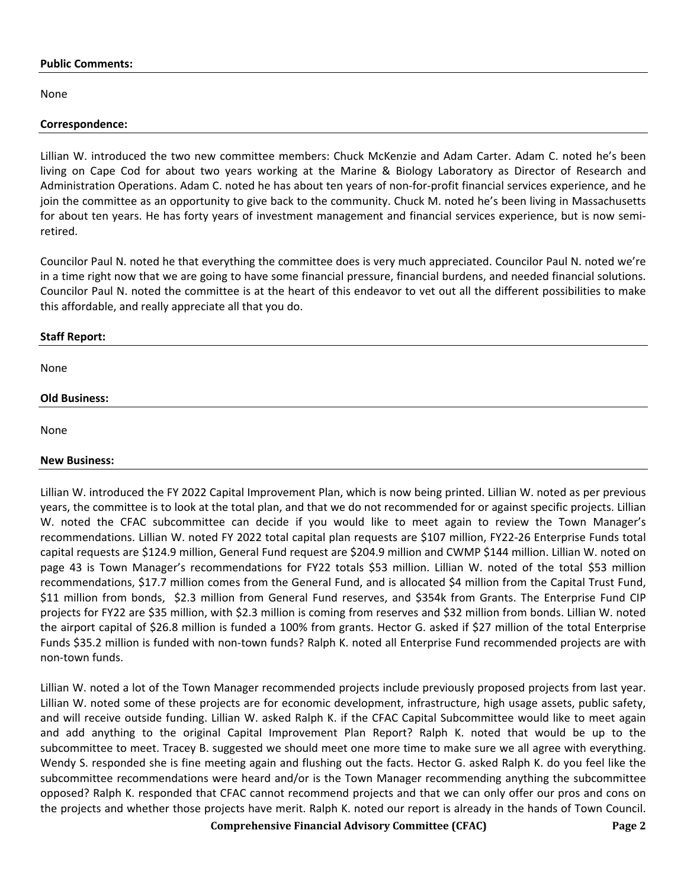#### **Public Comments:**

None

#### **Correspondence:**

Lillian W. introduced the two new committee members: Chuck McKenzie and Adam Carter. Adam C. noted he's been living on Cape Cod for about two years working at the Marine & Biology Laboratory as Director of Research and Administration Operations. Adam C. noted he has about ten years of non-for-profit financial services experience, and he join the committee as an opportunity to give back to the community. Chuck M. noted he's been living in Massachusetts for about ten years. He has forty years of investment management and financial services experience, but is now semiretired.

Councilor Paul N. noted he that everything the committee does is very much appreciated. Councilor Paul N. noted we're in a time right now that we are going to have some financial pressure, financial burdens, and needed financial solutions. Councilor Paul N. noted the committee is at the heart of this endeavor to vet out all the different possibilities to make this affordable, and really appreciate all that you do.

#### **Staff Report:**

None

#### **Old Business:**

None

#### **New Business:**

Lillian W. introduced the FY 2022 Capital Improvement Plan, which is now being printed. Lillian W. noted as per previous years, the committee is to look at the total plan, and that we do not recommended for or against specific projects. Lillian W. noted the CFAC subcommittee can decide if you would like to meet again to review the Town Manager's recommendations. Lillian W. noted FY 2022 total capital plan requests are \$107 million, FY22-26 Enterprise Funds total capital requests are \$124.9 million, General Fund request are \$204.9 million and CWMP \$144 million. Lillian W. noted on page 43 is Town Manager's recommendations for FY22 totals \$53 million. Lillian W. noted of the total \$53 million recommendations, \$17.7 million comes from the General Fund, and is allocated \$4 million from the Capital Trust Fund, \$11 million from bonds, \$2.3 million from General Fund reserves, and \$354k from Grants. The Enterprise Fund CIP projects for FY22 are \$35 million, with \$2.3 million is coming from reserves and \$32 million from bonds. Lillian W. noted the airport capital of \$26.8 million is funded a 100% from grants. Hector G. asked if \$27 million of the total Enterprise Funds \$35.2 million is funded with non-town funds? Ralph K. noted all Enterprise Fund recommended projects are with non-town funds.

Lillian W. noted a lot of the Town Manager recommended projects include previously proposed projects from last year. Lillian W. noted some of these projects are for economic development, infrastructure, high usage assets, public safety, and will receive outside funding. Lillian W. asked Ralph K. if the CFAC Capital Subcommittee would like to meet again and add anything to the original Capital Improvement Plan Report? Ralph K. noted that would be up to the subcommittee to meet. Tracey B. suggested we should meet one more time to make sure we all agree with everything. Wendy S. responded she is fine meeting again and flushing out the facts. Hector G. asked Ralph K. do you feel like the subcommittee recommendations were heard and/or is the Town Manager recommending anything the subcommittee opposed? Ralph K. responded that CFAC cannot recommend projects and that we can only offer our pros and cons on the projects and whether those projects have merit. Ralph K. noted our report is already in the hands of Town Council.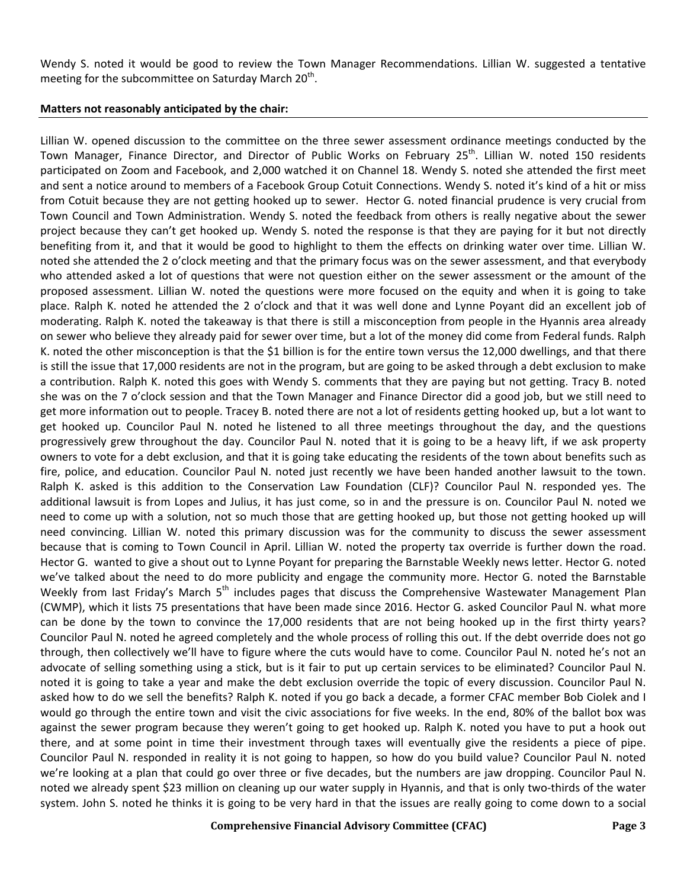Wendy S. noted it would be good to review the Town Manager Recommendations. Lillian W. suggested a tentative meeting for the subcommittee on Saturday March  $20<sup>th</sup>$ .

#### **Matters not reasonably anticipated by the chair:**

Lillian W. opened discussion to the committee on the three sewer assessment ordinance meetings conducted by the Town Manager, Finance Director, and Director of Public Works on February 25<sup>th</sup>. Lillian W. noted 150 residents participated on Zoom and Facebook, and 2,000 watched it on Channel 18. Wendy S. noted she attended the first meet and sent a notice around to members of a Facebook Group Cotuit Connections. Wendy S. noted it's kind of a hit or miss from Cotuit because they are not getting hooked up to sewer. Hector G. noted financial prudence is very crucial from Town Council and Town Administration. Wendy S. noted the feedback from others is really negative about the sewer project because they can't get hooked up. Wendy S. noted the response is that they are paying for it but not directly benefiting from it, and that it would be good to highlight to them the effects on drinking water over time. Lillian W. noted she attended the 2 o'clock meeting and that the primary focus was on the sewer assessment, and that everybody who attended asked a lot of questions that were not question either on the sewer assessment or the amount of the proposed assessment. Lillian W. noted the questions were more focused on the equity and when it is going to take place. Ralph K. noted he attended the 2 o'clock and that it was well done and Lynne Poyant did an excellent job of moderating. Ralph K. noted the takeaway is that there is still a misconception from people in the Hyannis area already on sewer who believe they already paid for sewer over time, but a lot of the money did come from Federal funds. Ralph K. noted the other misconception is that the \$1 billion is for the entire town versus the 12,000 dwellings, and that there is still the issue that 17,000 residents are not in the program, but are going to be asked through a debt exclusion to make a contribution. Ralph K. noted this goes with Wendy S. comments that they are paying but not getting. Tracy B. noted she was on the 7 o'clock session and that the Town Manager and Finance Director did a good job, but we still need to get more information out to people. Tracey B. noted there are not a lot of residents getting hooked up, but a lot want to get hooked up. Councilor Paul N. noted he listened to all three meetings throughout the day, and the questions progressively grew throughout the day. Councilor Paul N. noted that it is going to be a heavy lift, if we ask property owners to vote for a debt exclusion, and that it is going take educating the residents of the town about benefits such as fire, police, and education. Councilor Paul N. noted just recently we have been handed another lawsuit to the town. Ralph K. asked is this addition to the Conservation Law Foundation (CLF)? Councilor Paul N. responded yes. The additional lawsuit is from Lopes and Julius, it has just come, so in and the pressure is on. Councilor Paul N. noted we need to come up with a solution, not so much those that are getting hooked up, but those not getting hooked up will need convincing. Lillian W. noted this primary discussion was for the community to discuss the sewer assessment because that is coming to Town Council in April. Lillian W. noted the property tax override is further down the road. Hector G. wanted to give a shout out to Lynne Poyant for preparing the Barnstable Weekly news letter. Hector G. noted we've talked about the need to do more publicity and engage the community more. Hector G. noted the Barnstable Weekly from last Friday's March 5<sup>th</sup> includes pages that discuss the Comprehensive Wastewater Management Plan (CWMP), which it lists 75 presentations that have been made since 2016. Hector G. asked Councilor Paul N. what more can be done by the town to convince the 17,000 residents that are not being hooked up in the first thirty years? Councilor Paul N. noted he agreed completely and the whole process of rolling this out. If the debt override does not go through, then collectively we'll have to figure where the cuts would have to come. Councilor Paul N. noted he's not an advocate of selling something using a stick, but is it fair to put up certain services to be eliminated? Councilor Paul N. noted it is going to take a year and make the debt exclusion override the topic of every discussion. Councilor Paul N. asked how to do we sell the benefits? Ralph K. noted if you go back a decade, a former CFAC member Bob Ciolek and I would go through the entire town and visit the civic associations for five weeks. In the end, 80% of the ballot box was against the sewer program because they weren't going to get hooked up. Ralph K. noted you have to put a hook out there, and at some point in time their investment through taxes will eventually give the residents a piece of pipe. Councilor Paul N. responded in reality it is not going to happen, so how do you build value? Councilor Paul N. noted we're looking at a plan that could go over three or five decades, but the numbers are jaw dropping. Councilor Paul N. noted we already spent \$23 million on cleaning up our water supply in Hyannis, and that is only two-thirds of the water system. John S. noted he thinks it is going to be very hard in that the issues are really going to come down to a social